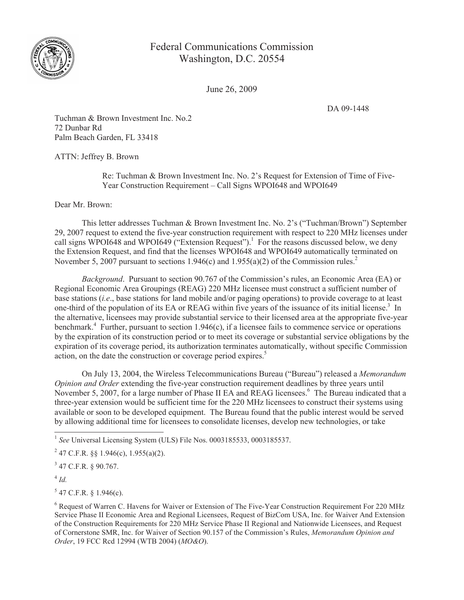

## Federal Communications Commission Washington, D.C. 20554

June 26, 2009

DA 09-1448

Tuchman & Brown Investment Inc. No.2 72 Dunbar Rd Palm Beach Garden, FL 33418

ATTN: Jeffrey B. Brown

Re: Tuchman & Brown Investment Inc. No. 2's Request for Extension of Time of Five-Year Construction Requirement – Call Signs WPOI648 and WPOI649

Dear Mr. Brown:

This letter addresses Tuchman & Brown Investment Inc. No. 2's ("Tuchman/Brown") September 29, 2007 request to extend the five-year construction requirement with respect to 220 MHz licenses under call signs WPOI648 and WPOI649 ("Extension Request").<sup>1</sup> For the reasons discussed below, we deny the Extension Request, and find that the licenses WPOI648 and WPOI649 automatically terminated on November 5, 2007 pursuant to sections 1.946(c) and 1.955(a)(2) of the Commission rules.<sup>2</sup>

*Background*. Pursuant to section 90.767 of the Commission's rules, an Economic Area (EA) or Regional Economic Area Groupings (REAG) 220 MHz licensee must construct a sufficient number of base stations (*i.e*., base stations for land mobile and/or paging operations) to provide coverage to at least one-third of the population of its EA or REAG within five years of the issuance of its initial license.<sup>3</sup> In the alternative, licensees may provide substantial service to their licensed area at the appropriate five-year benchmark.<sup>4</sup> Further, pursuant to section 1.946(c), if a licensee fails to commence service or operations by the expiration of its construction period or to meet its coverage or substantial service obligations by the expiration of its coverage period, its authorization terminates automatically, without specific Commission action, on the date the construction or coverage period expires.<sup>5</sup>

On July 13, 2004, the Wireless Telecommunications Bureau ("Bureau") released a *Memorandum Opinion and Order* extending the five-year construction requirement deadlines by three years until November 5, 2007, for a large number of Phase II EA and REAG licensees.<sup>6</sup> The Bureau indicated that a three-year extension would be sufficient time for the 220 MHz licensees to construct their systems using available or soon to be developed equipment. The Bureau found that the public interest would be served by allowing additional time for licensees to consolidate licenses, develop new technologies, or take

4 *Id.*

 $5$  47 C.F.R. § 1.946(c).

<sup>&</sup>lt;sup>1</sup> See Universal Licensing System (ULS) File Nos. 0003185533, 0003185537.

<sup>&</sup>lt;sup>2</sup> 47 C.F.R. §§ 1.946(c), 1.955(a)(2).

 $3$  47 C.F.R. § 90.767.

<sup>&</sup>lt;sup>6</sup> Request of Warren C. Havens for Waiver or Extension of The Five-Year Construction Requirement For 220 MHz Service Phase II Economic Area and Regional Licensees, Request of BizCom USA, Inc. for Waiver And Extension of the Construction Requirements for 220 MHz Service Phase II Regional and Nationwide Licensees, and Request of Cornerstone SMR, Inc. for Waiver of Section 90.157 of the Commission's Rules, *Memorandum Opinion and Order*, 19 FCC Rcd 12994 (WTB 2004) (*MO&O*).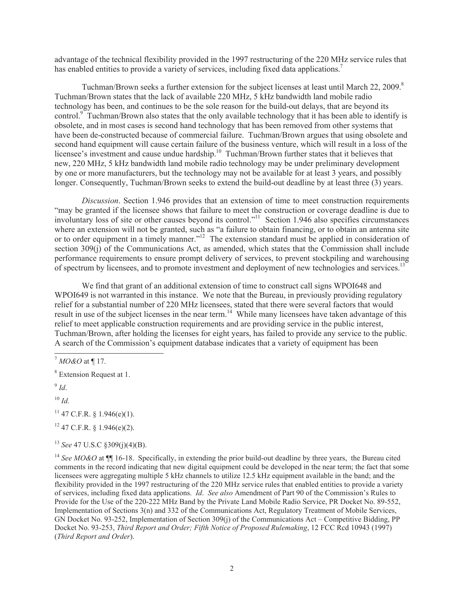advantage of the technical flexibility provided in the 1997 restructuring of the 220 MHz service rules that has enabled entities to provide a variety of services, including fixed data applications.<sup>7</sup>

Tuchman/Brown seeks a further extension for the subject licenses at least until March 22, 2009.<sup>8</sup> Tuchman/Brown states that the lack of available 220 MHz, 5 kHz bandwidth land mobile radio technology has been, and continues to be the sole reason for the build-out delays, that are beyond its control.<sup>9</sup> Tuchman/Brown also states that the only available technology that it has been able to identify is obsolete, and in most cases is second hand technology that has been removed from other systems that have been de-constructed because of commercial failure. Tuchman/Brown argues that using obsolete and second hand equipment will cause certain failure of the business venture, which will result in a loss of the licensee's investment and cause undue hardship.<sup>10</sup> Tuchman/Brown further states that it believes that new, 220 MHz, 5 kHz bandwidth land mobile radio technology may be under preliminary development by one or more manufacturers, but the technology may not be available for at least 3 years, and possibly longer. Consequently, Tuchman/Brown seeks to extend the build-out deadline by at least three (3) years.

*Discussion*. Section 1.946 provides that an extension of time to meet construction requirements "may be granted if the licensee shows that failure to meet the construction or coverage deadline is due to involuntary loss of site or other causes beyond its control."<sup>11</sup> Section 1.946 also specifies circumstances where an extension will not be granted, such as "a failure to obtain financing, or to obtain an antenna site or to order equipment in a timely manner."<sup>12</sup> The extension standard must be applied in consideration of section 309(j) of the Communications Act, as amended, which states that the Commission shall include performance requirements to ensure prompt delivery of services, to prevent stockpiling and warehousing of spectrum by licensees, and to promote investment and deployment of new technologies and services.<sup>13</sup>

We find that grant of an additional extension of time to construct call signs WPOI648 and WPOI649 is not warranted in this instance. We note that the Bureau, in previously providing regulatory relief for a substantial number of 220 MHz licensees, stated that there were several factors that would result in use of the subject licenses in the near term.<sup>14</sup> While many licensees have taken advantage of this relief to meet applicable construction requirements and are providing service in the public interest, Tuchman/Brown, after holding the licenses for eight years, has failed to provide any service to the public. A search of the Commission's equipment database indicates that a variety of equipment has been

 $10 \,$ *Id.* 

 $11$  47 C.F.R. § 1.946(e)(1).

 $12$  47 C.F.R. § 1.946(e)(2).

<sup>13</sup> *See* 47 U.S.C §309(j)(4)(B).

<sup>14</sup> See MO&O at  $\P$  16-18. Specifically, in extending the prior build-out deadline by three years, the Bureau cited comments in the record indicating that new digital equipment could be developed in the near term; the fact that some licensees were aggregating multiple 5 kHz channels to utilize 12.5 kHz equipment available in the band; and the flexibility provided in the 1997 restructuring of the 220 MHz service rules that enabled entities to provide a variety of services, including fixed data applications. *Id*. *See also* Amendment of Part 90 of the Commission's Rules to Provide for the Use of the 220-222 MHz Band by the Private Land Mobile Radio Service, PR Docket No. 89-552, Implementation of Sections 3(n) and 332 of the Communications Act, Regulatory Treatment of Mobile Services, GN Docket No. 93-252, Implementation of Section 309(j) of the Communications Act – Competitive Bidding, PP Docket No. 93-253, *Third Report and Order; Fifth Notice of Proposed Rulemaking*, 12 FCC Rcd 10943 (1997) (*Third Report and Order*).

<sup>7</sup> *MO&O* at ¶ 17.

<sup>8</sup> Extension Request at 1.

<sup>9</sup> *Id*.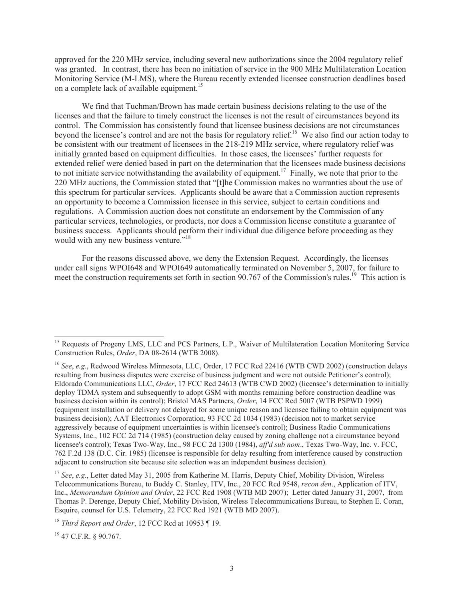approved for the 220 MHz service, including several new authorizations since the 2004 regulatory relief was granted. In contrast, there has been no initiation of service in the 900 MHz Multilateration Location Monitoring Service (M-LMS), where the Bureau recently extended licensee construction deadlines based on a complete lack of available equipment.<sup>15</sup>

We find that Tuchman/Brown has made certain business decisions relating to the use of the licenses and that the failure to timely construct the licenses is not the result of circumstances beyond its control. The Commission has consistently found that licensee business decisions are not circumstances beyond the licensee's control and are not the basis for regulatory relief.<sup>16</sup> We also find our action today to be consistent with our treatment of licensees in the 218-219 MHz service, where regulatory relief was initially granted based on equipment difficulties. In those cases, the licensees' further requests for extended relief were denied based in part on the determination that the licensees made business decisions to not initiate service notwithstanding the availability of equipment.<sup>17</sup> Finally, we note that prior to the 220 MHz auctions, the Commission stated that "[t]he Commission makes no warranties about the use of this spectrum for particular services. Applicants should be aware that a Commission auction represents an opportunity to become a Commission licensee in this service, subject to certain conditions and regulations. A Commission auction does not constitute an endorsement by the Commission of any particular services, technologies, or products, nor does a Commission license constitute a guarantee of business success. Applicants should perform their individual due diligence before proceeding as they would with any new business venture."<sup>18</sup>

For the reasons discussed above, we deny the Extension Request. Accordingly, the licenses under call signs WPOI648 and WPOI649 automatically terminated on November 5, 2007, for failure to meet the construction requirements set forth in section 90.767 of the Commission's rules.<sup>19</sup> This action is

<sup>19</sup> 47 C.F.R. § 90.767.

<sup>&</sup>lt;sup>15</sup> Requests of Progeny LMS, LLC and PCS Partners, L.P., Waiver of Multilateration Location Monitoring Service Construction Rules, *Order*, DA 08-2614 (WTB 2008).

<sup>&</sup>lt;sup>16</sup> *See*, *e.g.*, Redwood Wireless Minnesota, LLC, Order, 17 FCC Rcd 22416 (WTB CWD 2002) (construction delays resulting from business disputes were exercise of business judgment and were not outside Petitioner's control); Eldorado Communications LLC, *Order*, 17 FCC Rcd 24613 (WTB CWD 2002) (licensee's determination to initially deploy TDMA system and subsequently to adopt GSM with months remaining before construction deadline was business decision within its control); Bristol MAS Partners, *Order*, 14 FCC Rcd 5007 (WTB PSPWD 1999) (equipment installation or delivery not delayed for some unique reason and licensee failing to obtain equipment was business decision); AAT Electronics Corporation, 93 FCC 2d 1034 (1983) (decision not to market service aggressively because of equipment uncertainties is within licensee's control); Business Radio Communications Systems, Inc., 102 FCC 2d 714 (1985) (construction delay caused by zoning challenge not a circumstance beyond licensee's control); Texas Two-Way, Inc., 98 FCC 2d 1300 (1984), *aff'd sub nom*., Texas Two-Way, Inc. v. FCC, 762 F.2d 138 (D.C. Cir. 1985) (licensee is responsible for delay resulting from interference caused by construction adjacent to construction site because site selection was an independent business decision).

<sup>&</sup>lt;sup>17</sup> *See*, *e.g.*, Letter dated May 31, 2005 from Katherine M. Harris, Deputy Chief, Mobility Division, Wireless Telecommunications Bureau, to Buddy C. Stanley, ITV, Inc., 20 FCC Rcd 9548, *recon den*., Application of ITV, Inc., *Memorandum Opinion and Order*, 22 FCC Rcd 1908 (WTB MD 2007); Letter dated January 31, 2007, from Thomas P. Derenge, Deputy Chief, Mobility Division, Wireless Telecommunications Bureau, to Stephen E. Coran, Esquire, counsel for U.S. Telemetry, 22 FCC Rcd 1921 (WTB MD 2007).

<sup>18</sup> *Third Report and Order*, 12 FCC Rcd at 10953 ¶ 19.